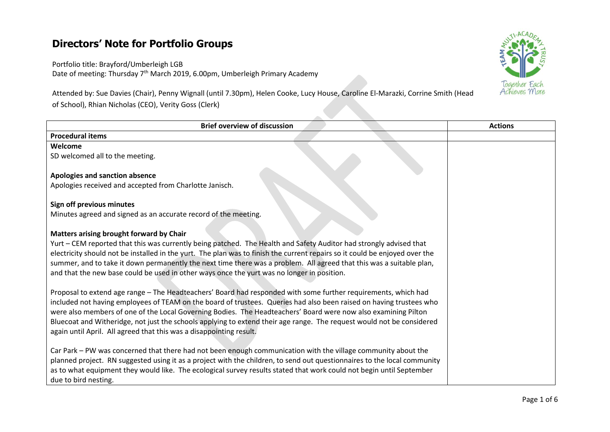## **Directors' Note for Portfolio Groups**

Portfolio title: Brayford/Umberleigh LGB Date of meeting: Thursday 7<sup>th</sup> March 2019, 6.00pm, Umberleigh Primary Academy

Attended by: Sue Davies (Chair), Penny Wignall (until 7.30pm), Helen Cooke, Lucy House, Caroline El-Marazki, Corrine Smith (Head of School), Rhian Nicholas (CEO), Verity Goss (Clerk)



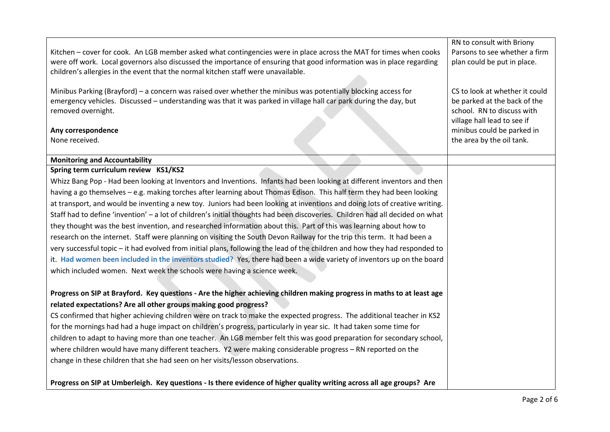|                                                                                                                               | RN to consult with Briony                               |
|-------------------------------------------------------------------------------------------------------------------------------|---------------------------------------------------------|
| Kitchen - cover for cook. An LGB member asked what contingencies were in place across the MAT for times when cooks            | Parsons to see whether a firm                           |
| were off work. Local governors also discussed the importance of ensuring that good information was in place regarding         | plan could be put in place.                             |
| children's allergies in the event that the normal kitchen staff were unavailable.                                             |                                                         |
|                                                                                                                               |                                                         |
| Minibus Parking (Brayford) - a concern was raised over whether the minibus was potentially blocking access for                | CS to look at whether it could                          |
| emergency vehicles. Discussed - understanding was that it was parked in village hall car park during the day, but             | be parked at the back of the                            |
| removed overnight.                                                                                                            | school. RN to discuss with                              |
|                                                                                                                               | village hall lead to see if                             |
| Any correspondence<br>None received.                                                                                          | minibus could be parked in<br>the area by the oil tank. |
|                                                                                                                               |                                                         |
| <b>Monitoring and Accountability</b>                                                                                          |                                                         |
| Spring term curriculum review KS1/KS2                                                                                         |                                                         |
| Whizz Bang Pop - Had been looking at Inventors and Inventions. Infants had been looking at different inventors and then       |                                                         |
| having a go themselves - e.g. making torches after learning about Thomas Edison. This half term they had been looking         |                                                         |
| at transport, and would be inventing a new toy. Juniors had been looking at inventions and doing lots of creative writing.    |                                                         |
| Staff had to define 'invention' - a lot of children's initial thoughts had been discoveries. Children had all decided on what |                                                         |
| they thought was the best invention, and researched information about this. Part of this was learning about how to            |                                                         |
| research on the internet. Staff were planning on visiting the South Devon Railway for the trip this term. It had been a       |                                                         |
| very successful topic – it had evolved from initial plans, following the lead of the children and how they had responded to   |                                                         |
| it. Had women been included in the inventors studied? Yes, there had been a wide variety of inventors up on the board         |                                                         |
| which included women. Next week the schools were having a science week.                                                       |                                                         |
|                                                                                                                               |                                                         |
| Progress on SIP at Brayford. Key questions - Are the higher achieving children making progress in maths to at least age       |                                                         |
| related expectations? Are all other groups making good progress?                                                              |                                                         |
| CS confirmed that higher achieving children were on track to make the expected progress. The additional teacher in KS2        |                                                         |
| for the mornings had had a huge impact on children's progress, particularly in year sic. It had taken some time for           |                                                         |
| children to adapt to having more than one teacher. An LGB member felt this was good preparation for secondary school,         |                                                         |
| where children would have many different teachers. Y2 were making considerable progress - RN reported on the                  |                                                         |
| change in these children that she had seen on her visits/lesson observations.                                                 |                                                         |
|                                                                                                                               |                                                         |
| Progress on SIP at Umberleigh. Key questions - Is there evidence of higher quality writing across all age groups? Are         |                                                         |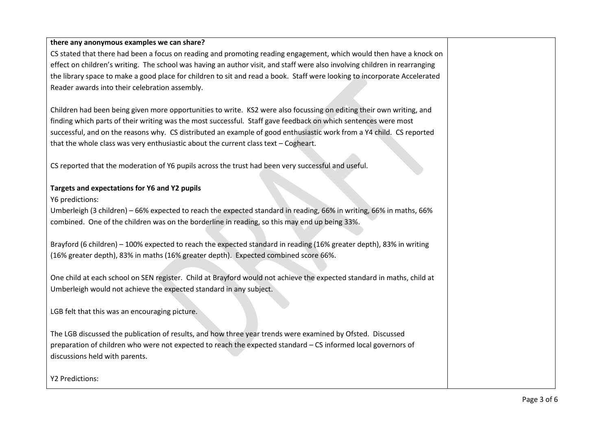## **there any anonymous examples we can share?**

CS stated that there had been a focus on reading and promoting reading engagement, which would then have a knock on effect on children's writing. The school was having an author visit, and staff were also involving children in rearranging the library space to make a good place for children to sit and read a book. Staff were looking to incorporate Accelerated Reader awards into their celebration assembly.

Children had been being given more opportunities to write. KS2 were also focussing on editing their own writing, and finding which parts of their writing was the most successful. Staff gave feedback on which sentences were most successful, and on the reasons why. CS distributed an example of good enthusiastic work from a Y4 child. CS reported that the whole class was very enthusiastic about the current class text – Cogheart.

CS reported that the moderation of Y6 pupils across the trust had been very successful and useful.

## **Targets and expectations for Y6 and Y2 pupils**

Y6 predictions:

Umberleigh (3 children) – 66% expected to reach the expected standard in reading, 66% in writing, 66% in maths, 66% combined. One of the children was on the borderline in reading, so this may end up being 33%.

Brayford (6 children) – 100% expected to reach the expected standard in reading (16% greater depth), 83% in writing (16% greater depth), 83% in maths (16% greater depth). Expected combined score 66%.

One child at each school on SEN register. Child at Brayford would not achieve the expected standard in maths, child at Umberleigh would not achieve the expected standard in any subject.

LGB felt that this was an encouraging picture.

The LGB discussed the publication of results, and how three year trends were examined by Ofsted. Discussed preparation of children who were not expected to reach the expected standard – CS informed local governors of discussions held with parents.

Y2 Predictions: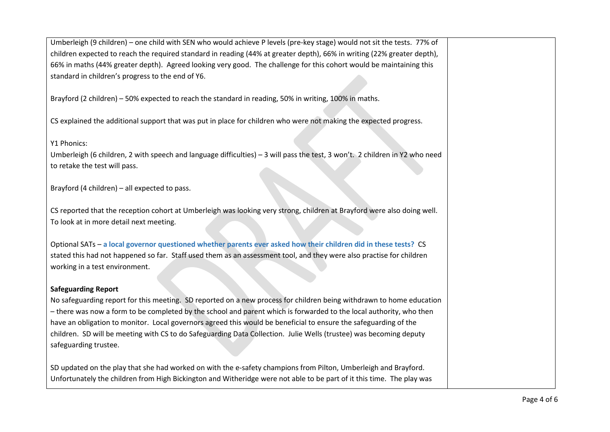| Umberleigh (9 children) - one child with SEN who would achieve P levels (pre-key stage) would not sit the tests. 77% of     |  |
|-----------------------------------------------------------------------------------------------------------------------------|--|
| children expected to reach the required standard in reading (44% at greater depth), 66% in writing (22% greater depth),     |  |
| 66% in maths (44% greater depth). Agreed looking very good. The challenge for this cohort would be maintaining this         |  |
| standard in children's progress to the end of Y6.                                                                           |  |
|                                                                                                                             |  |
| Brayford (2 children) - 50% expected to reach the standard in reading, 50% in writing, 100% in maths.                       |  |
|                                                                                                                             |  |
| CS explained the additional support that was put in place for children who were not making the expected progress.           |  |
|                                                                                                                             |  |
| Y1 Phonics:                                                                                                                 |  |
| Umberleigh (6 children, 2 with speech and language difficulties) - 3 will pass the test, 3 won't. 2 children in Y2 who need |  |
| to retake the test will pass.                                                                                               |  |
|                                                                                                                             |  |
| Brayford (4 children) - all expected to pass.                                                                               |  |
|                                                                                                                             |  |
| CS reported that the reception cohort at Umberleigh was looking very strong, children at Brayford were also doing well.     |  |
| To look at in more detail next meeting.                                                                                     |  |
|                                                                                                                             |  |
| Optional SATs - a local governor questioned whether parents ever asked how their children did in these tests? CS            |  |
| stated this had not happened so far. Staff used them as an assessment tool, and they were also practise for children        |  |
| working in a test environment.                                                                                              |  |
|                                                                                                                             |  |
| <b>Safeguarding Report</b>                                                                                                  |  |
| No safeguarding report for this meeting. SD reported on a new process for children being withdrawn to home education        |  |
| - there was now a form to be completed by the school and parent which is forwarded to the local authority, who then         |  |
| have an obligation to monitor. Local governors agreed this would be beneficial to ensure the safeguarding of the            |  |
| children. SD will be meeting with CS to do Safeguarding Data Collection. Julie Wells (trustee) was becoming deputy          |  |
| safeguarding trustee.                                                                                                       |  |
|                                                                                                                             |  |
| SD updated on the play that she had worked on with the e-safety champions from Pilton, Umberleigh and Brayford.             |  |
| Unfortunately the children from High Bickington and Witheridge were not able to be part of it this time. The play was       |  |
|                                                                                                                             |  |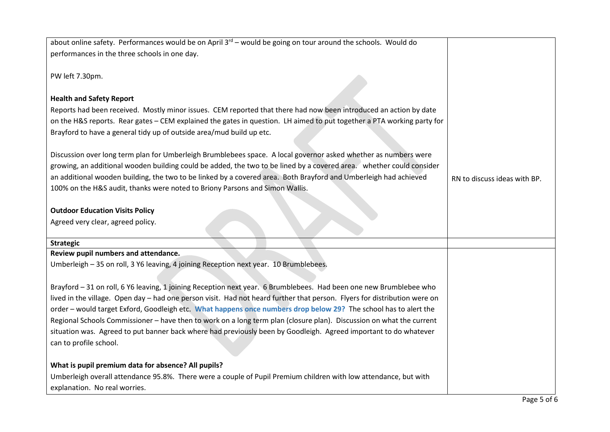| about online safety. Performances would be on April 3 <sup>rd</sup> – would be going on tour around the schools. Would do |                              |
|---------------------------------------------------------------------------------------------------------------------------|------------------------------|
| performances in the three schools in one day.                                                                             |                              |
|                                                                                                                           |                              |
| PW left 7.30pm.                                                                                                           |                              |
|                                                                                                                           |                              |
| <b>Health and Safety Report</b>                                                                                           |                              |
| Reports had been received. Mostly minor issues. CEM reported that there had now been introduced an action by date         |                              |
| on the H&S reports. Rear gates - CEM explained the gates in question. LH aimed to put together a PTA working party for    |                              |
| Brayford to have a general tidy up of outside area/mud build up etc.                                                      |                              |
|                                                                                                                           |                              |
| Discussion over long term plan for Umberleigh Brumblebees space. A local governor asked whether as numbers were           |                              |
| growing, an additional wooden building could be added, the two to be lined by a covered area.  whether could consider     |                              |
| an additional wooden building, the two to be linked by a covered area. Both Brayford and Umberleigh had achieved          | RN to discuss ideas with BP. |
| 100% on the H&S audit, thanks were noted to Briony Parsons and Simon Wallis.                                              |                              |
|                                                                                                                           |                              |
| <b>Outdoor Education Visits Policy</b>                                                                                    |                              |
| Agreed very clear, agreed policy.                                                                                         |                              |
|                                                                                                                           |                              |
| <b>Strategic</b>                                                                                                          |                              |
| Review pupil numbers and attendance.                                                                                      |                              |
| Umberleigh - 35 on roll, 3 Y6 leaving, 4 joining Reception next year. 10 Brumblebees.                                     |                              |
|                                                                                                                           |                              |
| Brayford - 31 on roll, 6 Y6 leaving, 1 joining Reception next year. 6 Brumblebees. Had been one new Brumblebee who        |                              |
| lived in the village. Open day - had one person visit. Had not heard further that person. Flyers for distribution were on |                              |
| order - would target Exford, Goodleigh etc. What happens once numbers drop below 29? The school has to alert the          |                              |
| Regional Schools Commissioner - have then to work on a long term plan (closure plan). Discussion on what the current      |                              |
| situation was. Agreed to put banner back where had previously been by Goodleigh. Agreed important to do whatever          |                              |
| can to profile school.                                                                                                    |                              |
|                                                                                                                           |                              |
| What is pupil premium data for absence? All pupils?                                                                       |                              |
| Umberleigh overall attendance 95.8%. There were a couple of Pupil Premium children with low attendance, but with          |                              |
| explanation. No real worries.                                                                                             |                              |